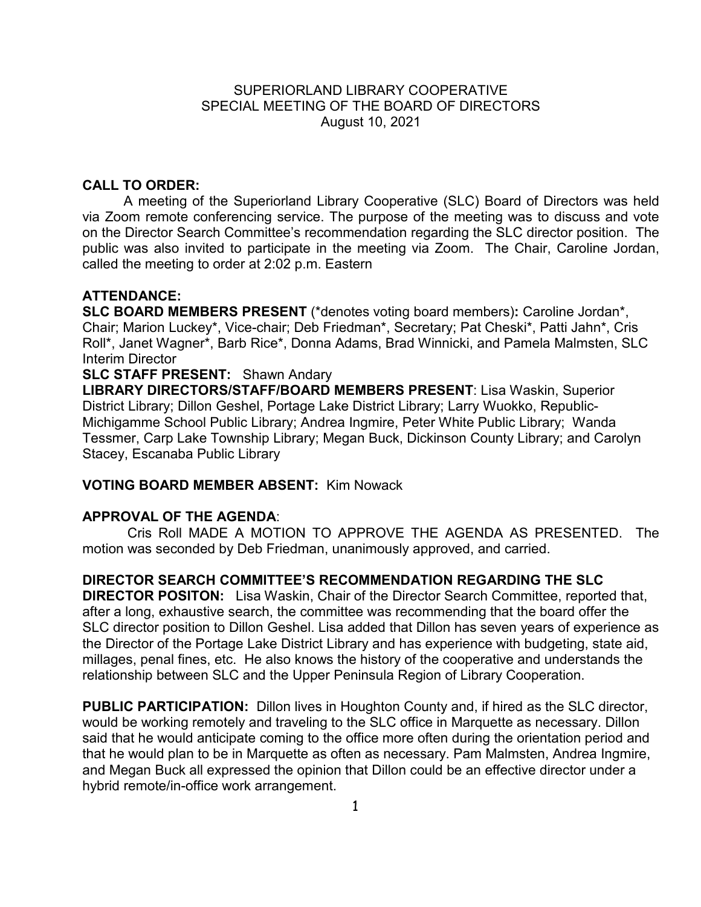### SUPERIORLAND LIBRARY COOPERATIVE SPECIAL MEETING OF THE BOARD OF DIRECTORS August 10, 2021

### **CALL TO ORDER:**

A meeting of the Superiorland Library Cooperative (SLC) Board of Directors was held via Zoom remote conferencing service. The purpose of the meeting was to discuss and vote on the Director Search Committee's recommendation regarding the SLC director position. The public was also invited to participate in the meeting via Zoom. The Chair, Caroline Jordan, called the meeting to order at 2:02 p.m. Eastern

#### **ATTENDANCE:**

**SLC BOARD MEMBERS PRESENT** (\*denotes voting board members)**:** Caroline Jordan\*, Chair; Marion Luckey\*, Vice-chair; Deb Friedman\*, Secretary; Pat Cheski\*, Patti Jahn\*, Cris Roll\*, Janet Wagner\*, Barb Rice\*, Donna Adams, Brad Winnicki, and Pamela Malmsten, SLC Interim Director

# **SLC STAFF PRESENT:** Shawn Andary

**LIBRARY DIRECTORS/STAFF/BOARD MEMBERS PRESENT**: Lisa Waskin, Superior District Library; Dillon Geshel, Portage Lake District Library; Larry Wuokko, Republic-Michigamme School Public Library; Andrea Ingmire, Peter White Public Library; Wanda Tessmer, Carp Lake Township Library; Megan Buck, Dickinson County Library; and Carolyn Stacey, Escanaba Public Library

#### **VOTING BOARD MEMBER ABSENT:** Kim Nowack

## **APPROVAL OF THE AGENDA**:

Cris Roll MADE A MOTION TO APPROVE THE AGENDA AS PRESENTED. The motion was seconded by Deb Friedman, unanimously approved, and carried.

## **DIRECTOR SEARCH COMMITTEE'S RECOMMENDATION REGARDING THE SLC**

**DIRECTOR POSITON:** Lisa Waskin, Chair of the Director Search Committee, reported that, after a long, exhaustive search, the committee was recommending that the board offer the SLC director position to Dillon Geshel. Lisa added that Dillon has seven years of experience as the Director of the Portage Lake District Library and has experience with budgeting, state aid, millages, penal fines, etc. He also knows the history of the cooperative and understands the relationship between SLC and the Upper Peninsula Region of Library Cooperation.

**PUBLIC PARTICIPATION:** Dillon lives in Houghton County and, if hired as the SLC director, would be working remotely and traveling to the SLC office in Marquette as necessary. Dillon said that he would anticipate coming to the office more often during the orientation period and that he would plan to be in Marquette as often as necessary. Pam Malmsten, Andrea Ingmire, and Megan Buck all expressed the opinion that Dillon could be an effective director under a hybrid remote/in-office work arrangement.